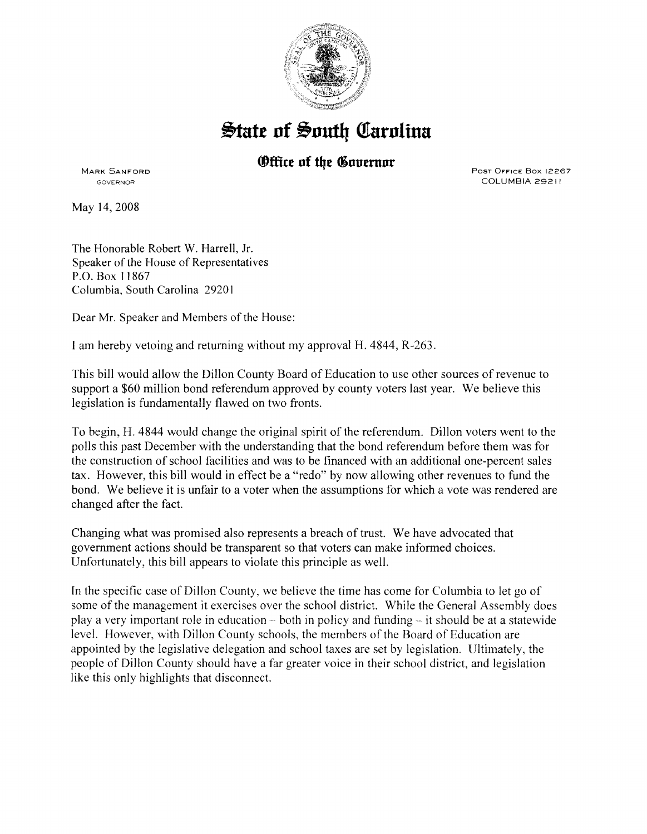

## $\frac{1}{2}$ tate of South Carolina

## **(Office of the Governor**

MARK SANFORD GOVERNOR

May 14,2008

Post Office Box 12267 COLUMBIA 29211

The Honorable Robert W. Harrell, Jr. Speaker of the House of Representatives P.O. Box 11867 Columbia, South Carolina 2920 I

Dear Mr. Speaker and Members of the House:

I am hereby vetoing and returning without my approval H. 4844, R-263.

This bill would allow the Dillon County Board of Education to use other sources of revenue to support a \$60 million bond referendum approved by county voters last year. We believe this legislation is fundamentally flawed on two fronts.

To begin, H. 4844 would change the original spirit of the referendum. Dillon voters went to the polls this past December with the understanding that the bond referendum before them was for the construction of school facilities and was to be financed with an additional one-percent sales tax. However, this bill would in effect be a "redo" by now allowing other revenues to fund the bond. We believe it is unfair to a voter when the assumptions for which a vote was rendered are changed after the fact.

Changing what was promised also represents a breach of trust. We have advocated that government actions should be transparent so that voters can make informed choices. Unfortunately, this bill appears to violate this principle as well.

In the specific case of Dillon County, we believe the time has come for Columbia to let go of some of the management it exercises over the school district. While the General Assembly does play a very important role in education – both in policy and funding – it should be at a statewide level. However, with Dillon County schools, the members of the Board of Education are appointed by the legislative delegation and school taxes are set by legislation. Ultimately, the people of Dillon County should have a far greater voice in their school district, and legislation like this only highlights that disconnect.